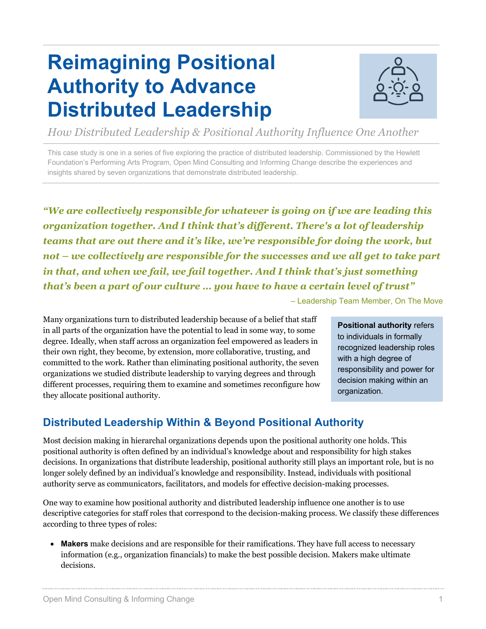## **Reimagining Positional Authority to Advance Distributed Leadership**



*How Distributed Leadership & Positional Authority Influence One Another*

This case study is one in a series of five exploring the practice of distributed leadership. Commissioned by the Hewlett Foundation's Performing Arts Program, Open Mind Consulting and Informing Change describe the experiences and insights shared by seven organizations that demonstrate distributed leadership.

*"We are collectively responsible for whatever is going on if we are leading this organization together. And I think that's different. There's a lot of leadership teams that are out there and it's like, we're responsible for doing the work, but not – we collectively are responsible for the successes and we all get to take part in that, and when we fail, we fail together. And I think that's just something that's been a part of our culture … you have to have a certain level of trust"* 

– Leadership Team Member, On The Move

Many organizations turn to distributed leadership because of a belief that staff in all parts of the organization have the potential to lead in some way, to some degree. Ideally, when staff across an organization feel empowered as leaders in their own right, they become, by extension, more collaborative, trusting, and committed to the work. Rather than eliminating positional authority, the seven organizations we studied distribute leadership to varying degrees and through different processes, requiring them to examine and sometimes reconfigure how they allocate positional authority.

**Positional authority** refers to individuals in formally recognized leadership roles with a high degree of responsibility and power for decision making within an organization.

## **Distributed Leadership Within & Beyond Positional Authority**

Most decision making in hierarchal organizations depends upon the positional authority one holds. This positional authority is often defined by an individual's knowledge about and responsibility for high stakes decisions. In organizations that distribute leadership, positional authority still plays an important role, but is no longer solely defined by an individual's knowledge and responsibility. Instead, individuals with positional authority serve as communicators, facilitators, and models for effective decision-making processes.

One way to examine how positional authority and distributed leadership influence one another is to use descriptive categories for staff roles that correspond to the decision-making process. We classify these differences according to three types of roles:

• **Makers** make decisions and are responsible for their ramifications. They have full access to necessary information (e.g., organization financials) to make the best possible decision. Makers make ultimate decisions.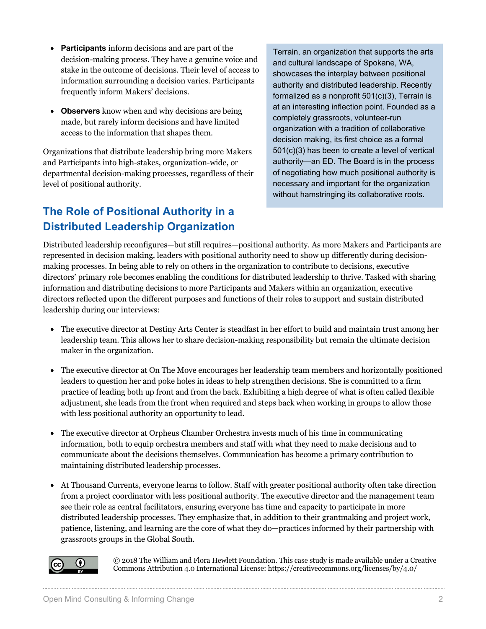- **Participants** inform decisions and are part of the decision-making process. They have a genuine voice and stake in the outcome of decisions. Their level of access to information surrounding a decision varies. Participants frequently inform Makers' decisions.
- **Observers** know when and why decisions are being made, but rarely inform decisions and have limited access to the information that shapes them.

Organizations that distribute leadership bring more Makers and Participants into high-stakes, organization-wide, or departmental decision-making processes, regardless of their level of positional authority.

## **The Role of Positional Authority in a Distributed Leadership Organization**

Terrain, an organization that supports the arts and cultural landscape of Spokane, WA, showcases the interplay between positional authority and distributed leadership. Recently formalized as a nonprofit 501(c)(3), Terrain is at an interesting inflection point. Founded as a completely grassroots, volunteer-run organization with a tradition of collaborative decision making, its first choice as a formal 501(c)(3) has been to create a level of vertical authority—an ED. The Board is in the process of negotiating how much positional authority is necessary and important for the organization without hamstringing its collaborative roots.

Distributed leadership reconfigures—but still requires—positional authority. As more Makers and Participants are represented in decision making, leaders with positional authority need to show up differently during decisionmaking processes. In being able to rely on others in the organization to contribute to decisions, executive directors' primary role becomes enabling the conditions for distributed leadership to thrive. Tasked with sharing information and distributing decisions to more Participants and Makers within an organization, executive directors reflected upon the different purposes and functions of their roles to support and sustain distributed leadership during our interviews:

- The executive director at Destiny Arts Center is steadfast in her effort to build and maintain trust among her leadership team. This allows her to share decision-making responsibility but remain the ultimate decision maker in the organization.
- The executive director at On The Move encourages her leadership team members and horizontally positioned leaders to question her and poke holes in ideas to help strengthen decisions. She is committed to a firm practice of leading both up front and from the back. Exhibiting a high degree of what is often called flexible adjustment, she leads from the front when required and steps back when working in groups to allow those with less positional authority an opportunity to lead.
- The executive director at Orpheus Chamber Orchestra invests much of his time in communicating information, both to equip orchestra members and staff with what they need to make decisions and to communicate about the decisions themselves. Communication has become a primary contribution to maintaining distributed leadership processes.
- At Thousand Currents, everyone learns to follow. Staff with greater positional authority often take direction from a project coordinator with less positional authority. The executive director and the management team see their role as central facilitators, ensuring everyone has time and capacity to participate in more distributed leadership processes. They emphasize that, in addition to their grantmaking and project work, patience, listening, and learning are the core of what they do—practices informed by their partnership with grassroots groups in the Global South.



© 2018 The William and Flora Hewlett Foundation. This case study is made available under a Creative Commons Attribution 4.0 International License: https://creativecommons.org/licenses/by/4.0/